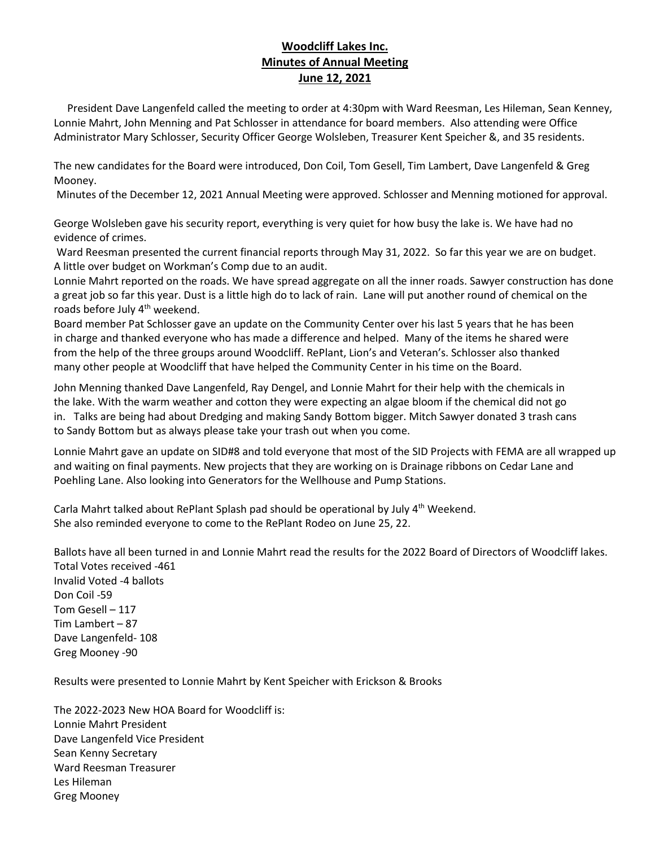## **Woodcliff Lakes Inc. Minutes of Annual Meeting June 12, 2021**

 President Dave Langenfeld called the meeting to order at 4:30pm with Ward Reesman, Les Hileman, Sean Kenney, Lonnie Mahrt, John Menning and Pat Schlosser in attendance for board members. Also attending were Office Administrator Mary Schlosser, Security Officer George Wolsleben, Treasurer Kent Speicher &, and 35 residents.

The new candidates for the Board were introduced, Don Coil, Tom Gesell, Tim Lambert, Dave Langenfeld & Greg Mooney.

Minutes of the December 12, 2021 Annual Meeting were approved. Schlosser and Menning motioned for approval.

George Wolsleben gave his security report, everything is very quiet for how busy the lake is. We have had no evidence of crimes.

Ward Reesman presented the current financial reports through May 31, 2022. So far this year we are on budget. A little over budget on Workman's Comp due to an audit.

Lonnie Mahrt reported on the roads. We have spread aggregate on all the inner roads. Sawyer construction has done a great job so far this year. Dust is a little high do to lack of rain. Lane will put another round of chemical on the roads before July 4<sup>th</sup> weekend.

Board member Pat Schlosser gave an update on the Community Center over his last 5 years that he has been in charge and thanked everyone who has made a difference and helped. Many of the items he shared were from the help of the three groups around Woodcliff. RePlant, Lion's and Veteran's. Schlosser also thanked many other people at Woodcliff that have helped the Community Center in his time on the Board.

John Menning thanked Dave Langenfeld, Ray Dengel, and Lonnie Mahrt for their help with the chemicals in the lake. With the warm weather and cotton they were expecting an algae bloom if the chemical did not go in. Talks are being had about Dredging and making Sandy Bottom bigger. Mitch Sawyer donated 3 trash cans to Sandy Bottom but as always please take your trash out when you come.

Lonnie Mahrt gave an update on SID#8 and told everyone that most of the SID Projects with FEMA are all wrapped up and waiting on final payments. New projects that they are working on is Drainage ribbons on Cedar Lane and Poehling Lane. Also looking into Generators for the Wellhouse and Pump Stations.

Carla Mahrt talked about RePlant Splash pad should be operational by July 4<sup>th</sup> Weekend. She also reminded everyone to come to the RePlant Rodeo on June 25, 22.

Ballots have all been turned in and Lonnie Mahrt read the results for the 2022 Board of Directors of Woodcliff lakes. Total Votes received -461 Invalid Voted -4 ballots Don Coil -59 Tom Gesell – 117 Tim Lambert – 87 Dave Langenfeld- 108 Greg Mooney -90

Results were presented to Lonnie Mahrt by Kent Speicher with Erickson & Brooks

The 2022-2023 New HOA Board for Woodcliff is: Lonnie Mahrt President Dave Langenfeld Vice President Sean Kenny Secretary Ward Reesman Treasurer Les Hileman Greg Mooney